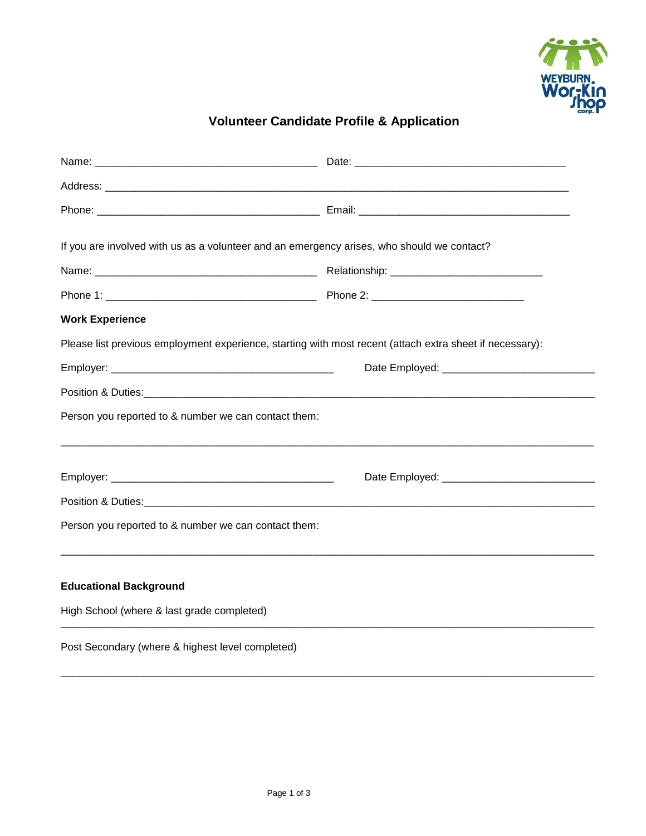

## **Volunteer Candidate Profile & Application**

| If you are involved with us as a volunteer and an emergency arises, who should we contact?               |  |  |
|----------------------------------------------------------------------------------------------------------|--|--|
|                                                                                                          |  |  |
|                                                                                                          |  |  |
| <b>Work Experience</b>                                                                                   |  |  |
| Please list previous employment experience, starting with most recent (attach extra sheet if necessary): |  |  |
|                                                                                                          |  |  |
|                                                                                                          |  |  |
| Person you reported to & number we can contact them:                                                     |  |  |
|                                                                                                          |  |  |
|                                                                                                          |  |  |
|                                                                                                          |  |  |
| Person you reported to & number we can contact them:                                                     |  |  |
|                                                                                                          |  |  |
| <b>Educational Background</b>                                                                            |  |  |
| High School (where & last grade completed)                                                               |  |  |
| Post Secondary (where & highest level completed)                                                         |  |  |

\_\_\_\_\_\_\_\_\_\_\_\_\_\_\_\_\_\_\_\_\_\_\_\_\_\_\_\_\_\_\_\_\_\_\_\_\_\_\_\_\_\_\_\_\_\_\_\_\_\_\_\_\_\_\_\_\_\_\_\_\_\_\_\_\_\_\_\_\_\_\_\_\_\_\_\_\_\_\_\_\_\_\_\_\_\_\_\_\_\_\_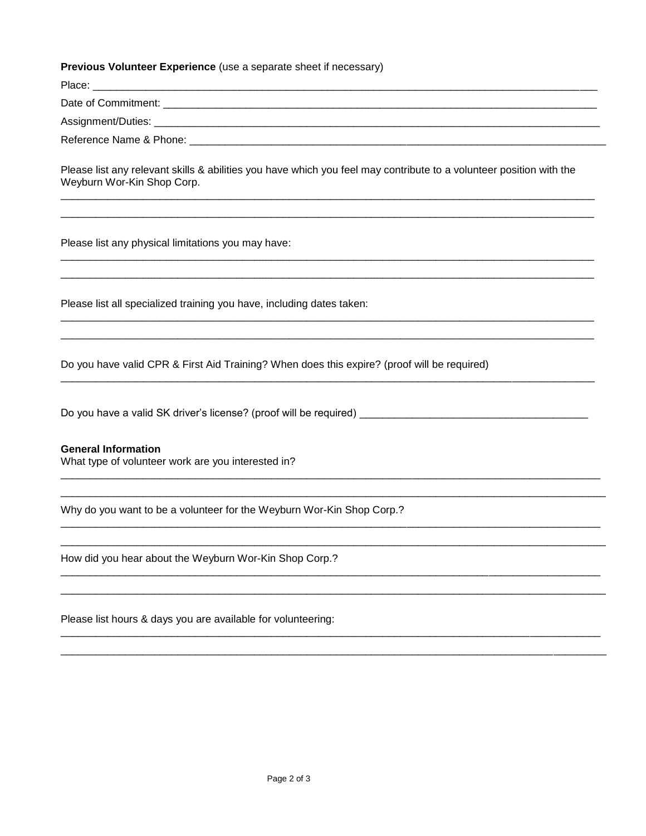## Previous Volunteer Experience (use a separate sheet if necessary)

| Place:                  |  |
|-------------------------|--|
| Date of Commitment:     |  |
| Assignment/Duties: __   |  |
| Reference Name & Phone: |  |

Please list any relevant skills & abilities you have which you feel may contribute to a volunteer position with the Weyburn Wor-Kin Shop Corp.

Please list any physical limitations you may have:

Please list all specialized training you have, including dates taken:

Do you have valid CPR & First Aid Training? When does this expire? (proof will be required)

## **General Information**

What type of volunteer work are you interested in?

Why do you want to be a volunteer for the Weyburn Wor-Kin Shop Corp.?

How did you hear about the Weyburn Wor-Kin Shop Corp.?

Please list hours & days you are available for volunteering: